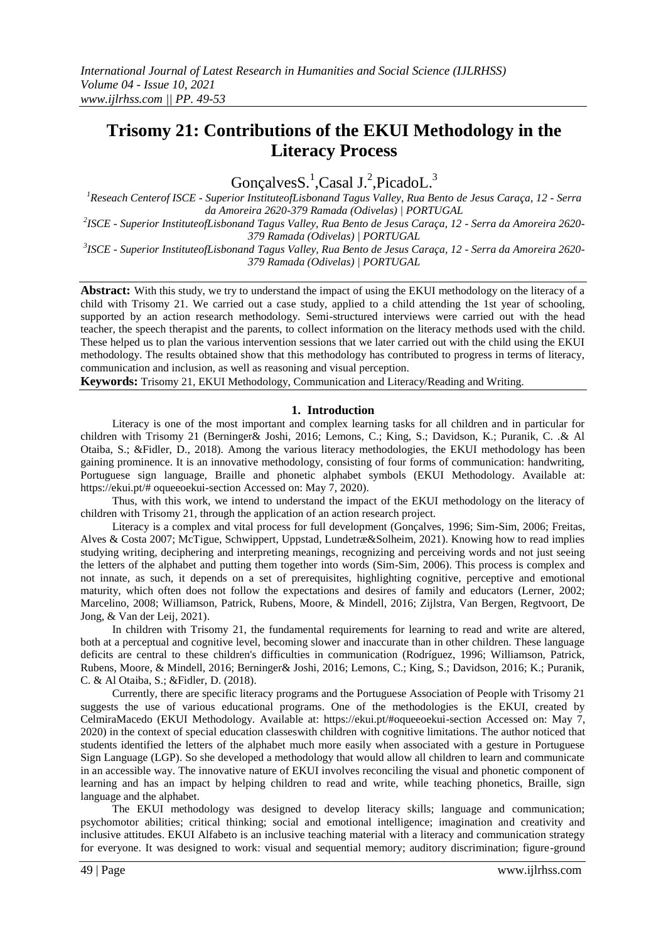# **Trisomy 21: Contributions of the EKUI Methodology in the Literacy Process**

Gonçalves $S^1$ , Casal J.<sup>2</sup>, PicadoL.<sup>3</sup>

*<sup>1</sup>Reseach Centerof ISCE - Superior InstituteofLisbonand Tagus Valley, Rua Bento de Jesus Caraça, 12 - Serra da Amoreira 2620-379 Ramada (Odivelas) | PORTUGAL 2 ISCE - Superior InstituteofLisbonand Tagus Valley, Rua Bento de Jesus Caraça, 12 - Serra da Amoreira 2620-*

*379 Ramada (Odivelas) | PORTUGAL*

*3 ISCE - Superior InstituteofLisbonand Tagus Valley, Rua Bento de Jesus Caraça, 12 - Serra da Amoreira 2620- 379 Ramada (Odivelas) | PORTUGAL*

**Abstract:** With this study, we try to understand the impact of using the EKUI methodology on the literacy of a child with Trisomy 21. We carried out a case study, applied to a child attending the 1st year of schooling, supported by an action research methodology. Semi-structured interviews were carried out with the head teacher, the speech therapist and the parents, to collect information on the literacy methods used with the child. These helped us to plan the various intervention sessions that we later carried out with the child using the EKUI methodology. The results obtained show that this methodology has contributed to progress in terms of literacy, communication and inclusion, as well as reasoning and visual perception.

**Keywords:** Trisomy 21, EKUI Methodology, Communication and Literacy/Reading and Writing.

# **1. Introduction**

Literacy is one of the most important and complex learning tasks for all children and in particular for children with Trisomy 21 (Berninger& Joshi, 2016; Lemons, C.; King, S.; Davidson, K.; Puranik, C. .& Al Otaiba, S.; &Fidler, D., 2018). Among the various literacy methodologies, the EKUI methodology has been gaining prominence. It is an innovative methodology, consisting of four forms of communication: handwriting, Portuguese sign language, Braille and phonetic alphabet symbols (EKUI Methodology. Available at: https://ekui.pt/# oqueeoekui-section Accessed on: May 7, 2020).

Thus, with this work, we intend to understand the impact of the EKUI methodology on the literacy of children with Trisomy 21, through the application of an action research project.

Literacy is a complex and vital process for full development (Gonçalves, 1996; Sim-Sim, 2006; Freitas, Alves & Costa 2007; McTigue, Schwippert, Uppstad, Lundetræ&Solheim, 2021). Knowing how to read implies studying writing, deciphering and interpreting meanings, recognizing and perceiving words and not just seeing the letters of the alphabet and putting them together into words (Sim-Sim, 2006). This process is complex and not innate, as such, it depends on a set of prerequisites, highlighting cognitive, perceptive and emotional maturity, which often does not follow the expectations and desires of family and educators (Lerner, 2002; Marcelino, 2008; Williamson, Patrick, Rubens, Moore, & Mindell, 2016; Zijlstra, Van Bergen, Regtvoort, De Jong, & Van der Leij, 2021).

In children with Trisomy 21, the fundamental requirements for learning to read and write are altered, both at a perceptual and cognitive level, becoming slower and inaccurate than in other children. These language deficits are central to these children's difficulties in communication (Rodríguez, 1996; Williamson, Patrick, Rubens, Moore, & Mindell, 2016; Berninger& Joshi, 2016; Lemons, C.; King, S.; Davidson, 2016; K.; Puranik, C. & Al Otaiba, S.; &Fidler, D. (2018).

Currently, there are specific literacy programs and the Portuguese Association of People with Trisomy 21 suggests the use of various educational programs. One of the methodologies is the EKUI, created by CelmiraMacedo (EKUI Methodology. Available at: https://ekui.pt/#oqueeoekui-section Accessed on: May 7, 2020) in the context of special education classeswith children with cognitive limitations. The author noticed that students identified the letters of the alphabet much more easily when associated with a gesture in Portuguese Sign Language (LGP). So she developed a methodology that would allow all children to learn and communicate in an accessible way. The innovative nature of EKUI involves reconciling the visual and phonetic component of learning and has an impact by helping children to read and write, while teaching phonetics, Braille, sign language and the alphabet.

The EKUI methodology was designed to develop literacy skills; language and communication; psychomotor abilities; critical thinking; social and emotional intelligence; imagination and creativity and inclusive attitudes. EKUI Alfabeto is an inclusive teaching material with a literacy and communication strategy for everyone. It was designed to work: visual and sequential memory; auditory discrimination; figure-ground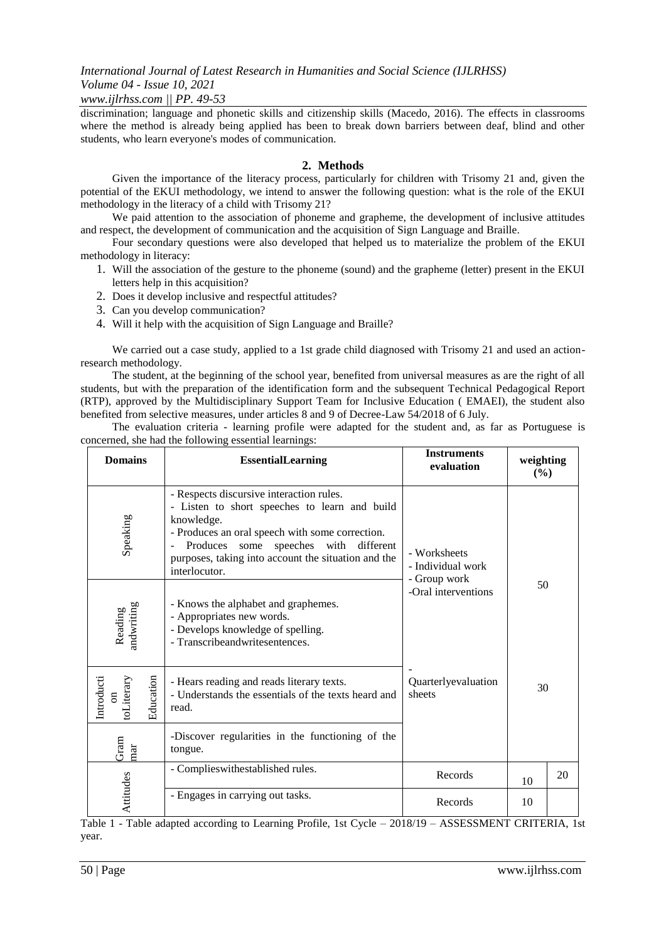*International Journal of Latest Research in Humanities and Social Science (IJLRHSS) Volume 04 - Issue 10, 2021*

# *www.ijlrhss.com || PP. 49-53*

discrimination; language and phonetic skills and citizenship skills (Macedo, 2016). The effects in classrooms where the method is already being applied has been to break down barriers between deaf, blind and other students, who learn everyone's modes of communication.

# **2. Methods**

Given the importance of the literacy process, particularly for children with Trisomy 21 and, given the potential of the EKUI methodology, we intend to answer the following question: what is the role of the EKUI methodology in the literacy of a child with Trisomy 21?

We paid attention to the association of phoneme and grapheme, the development of inclusive attitudes and respect, the development of communication and the acquisition of Sign Language and Braille.

Four secondary questions were also developed that helped us to materialize the problem of the EKUI methodology in literacy:

- 1. Will the association of the gesture to the phoneme (sound) and the grapheme (letter) present in the EKUI letters help in this acquisition?
- 2. Does it develop inclusive and respectful attitudes?
- 3. Can you develop communication?
- 4. Will it help with the acquisition of Sign Language and Braille?

We carried out a case study, applied to a 1st grade child diagnosed with Trisomy 21 and used an actionresearch methodology.

The student, at the beginning of the school year, benefited from universal measures as are the right of all students, but with the preparation of the identification form and the subsequent Technical Pedagogical Report (RTP), approved by the Multidisciplinary Support Team for Inclusive Education ( EMAEI), the student also benefited from selective measures, under articles 8 and 9 of Decree-Law 54/2018 of 6 July.

The evaluation criteria - learning profile were adapted for the student and, as far as Portuguese is concerned, she had the following essential learnings:

| <b>Domains</b>                                  | <b>EssentialLearning</b>                                                                                                                                                                                                                                                                   | <b>Instruments</b><br>evaluation                  | weighting<br>(%) |    |
|-------------------------------------------------|--------------------------------------------------------------------------------------------------------------------------------------------------------------------------------------------------------------------------------------------------------------------------------------------|---------------------------------------------------|------------------|----|
| Speaking                                        | - Respects discursive interaction rules.<br>- Listen to short speeches to learn and build<br>knowledge.<br>- Produces an oral speech with some correction.<br>Produces<br>speeches with<br>some<br>different<br>÷,<br>purposes, taking into account the situation and the<br>interlocutor. | - Worksheets<br>- Individual work<br>- Group work | 50               |    |
| Reading<br>andwriting                           | - Knows the alphabet and graphemes.<br>- Appropriates new words.<br>- Develops knowledge of spelling.<br>- Transcribeandwritesentences.                                                                                                                                                    | -Oral interventions                               |                  |    |
| Education<br>Introducti<br>on<br>to<br>Literary | - Hears reading and reads literary texts.<br>- Understands the essentials of the texts heard and<br>read.                                                                                                                                                                                  | Quarterlyevaluation<br>sheets                     | 30               |    |
| Gram<br>mar                                     | -Discover regularities in the functioning of the<br>tongue.                                                                                                                                                                                                                                |                                                   |                  |    |
|                                                 | - Complieswithestablished rules.                                                                                                                                                                                                                                                           | Records                                           | 10               | 20 |
| Attitudes                                       | - Engages in carrying out tasks.                                                                                                                                                                                                                                                           | Records                                           | 10               |    |

Table 1 - Table adapted according to Learning Profile, 1st Cycle – 2018/19 – ASSESSMENT CRITERIA, 1st year.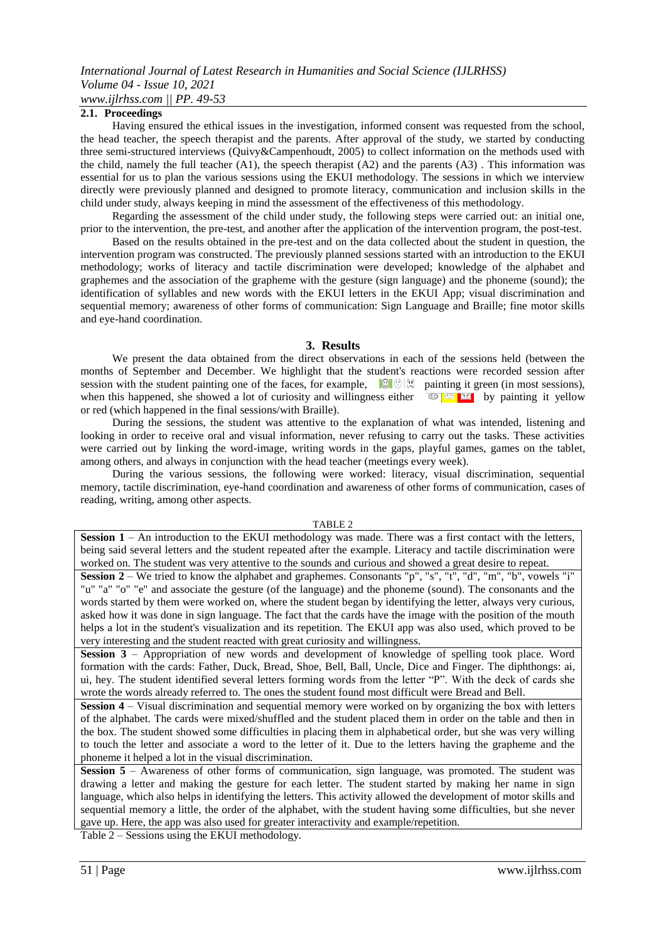## **2.1. Proceedings**

Having ensured the ethical issues in the investigation, informed consent was requested from the school, the head teacher, the speech therapist and the parents. After approval of the study, we started by conducting three semi-structured interviews (Quivy&Campenhoudt, 2005) to collect information on the methods used with the child, namely the full teacher (A1), the speech therapist (A2) and the parents (A3) . This information was essential for us to plan the various sessions using the EKUI methodology. The sessions in which we interview directly were previously planned and designed to promote literacy, communication and inclusion skills in the child under study, always keeping in mind the assessment of the effectiveness of this methodology.

Regarding the assessment of the child under study, the following steps were carried out: an initial one, prior to the intervention, the pre-test, and another after the application of the intervention program, the post-test.

Based on the results obtained in the pre-test and on the data collected about the student in question, the intervention program was constructed. The previously planned sessions started with an introduction to the EKUI methodology; works of literacy and tactile discrimination were developed; knowledge of the alphabet and graphemes and the association of the grapheme with the gesture (sign language) and the phoneme (sound); the identification of syllables and new words with the EKUI letters in the EKUI App; visual discrimination and sequential memory; awareness of other forms of communication: Sign Language and Braille; fine motor skills and eye-hand coordination.

#### **3. Results**

We present the data obtained from the direct observations in each of the sessions held (between the months of September and December. We highlight that the student's reactions were recorded session after session with the student painting one of the faces, for example,  $\mathbb{Q} \otimes \mathbb{Q}$  painting it green (in most sessions), when this happened, she showed a lot of curiosity and willingness either  $\overline{O}$   $\overline{O}$  by painting it yellow or red (which happened in the final sessions/with Braille).

During the sessions, the student was attentive to the explanation of what was intended, listening and looking in order to receive oral and visual information, never refusing to carry out the tasks. These activities were carried out by linking the word-image, writing words in the gaps, playful games, games on the tablet, among others, and always in conjunction with the head teacher (meetings every week).

During the various sessions, the following were worked: literacy, visual discrimination, sequential memory, tactile discrimination, eye-hand coordination and awareness of other forms of communication, cases of reading, writing, among other aspects.

#### TABLE 2

| Session $1 - An$ introduction to the EKUI methodology was made. There was a first contact with the letters,     |
|-----------------------------------------------------------------------------------------------------------------|
| being said several letters and the student repeated after the example. Literacy and tactile discrimination were |
| worked on. The student was very attentive to the sounds and curious and showed a great desire to repeat.        |

**Session 2** – We tried to know the alphabet and graphemes. Consonants "p", "s", "t", "d", "m", "b", vowels "i" "u" "a" "o" "e" and associate the gesture (of the language) and the phoneme (sound). The consonants and the words started by them were worked on, where the student began by identifying the letter, always very curious, asked how it was done in sign language. The fact that the cards have the image with the position of the mouth helps a lot in the student's visualization and its repetition. The EKUI app was also used, which proved to be very interesting and the student reacted with great curiosity and willingness.

**Session 3** – Appropriation of new words and development of knowledge of spelling took place. Word formation with the cards: Father, Duck, Bread, Shoe, Bell, Ball, Uncle, Dice and Finger. The diphthongs: ai, ui, hey. The student identified several letters forming words from the letter "P". With the deck of cards she wrote the words already referred to. The ones the student found most difficult were Bread and Bell.

**Session 4** – Visual discrimination and sequential memory were worked on by organizing the box with letters of the alphabet. The cards were mixed/shuffled and the student placed them in order on the table and then in the box. The student showed some difficulties in placing them in alphabetical order, but she was very willing to touch the letter and associate a word to the letter of it. Due to the letters having the grapheme and the phoneme it helped a lot in the visual discrimination.

**Session 5** – Awareness of other forms of communication, sign language, was promoted. The student was drawing a letter and making the gesture for each letter. The student started by making her name in sign language, which also helps in identifying the letters. This activity allowed the development of motor skills and sequential memory a little, the order of the alphabet, with the student having some difficulties, but she never gave up. Here, the app was also used for greater interactivity and example/repetition.

Table 2 – Sessions using the EKUI methodology.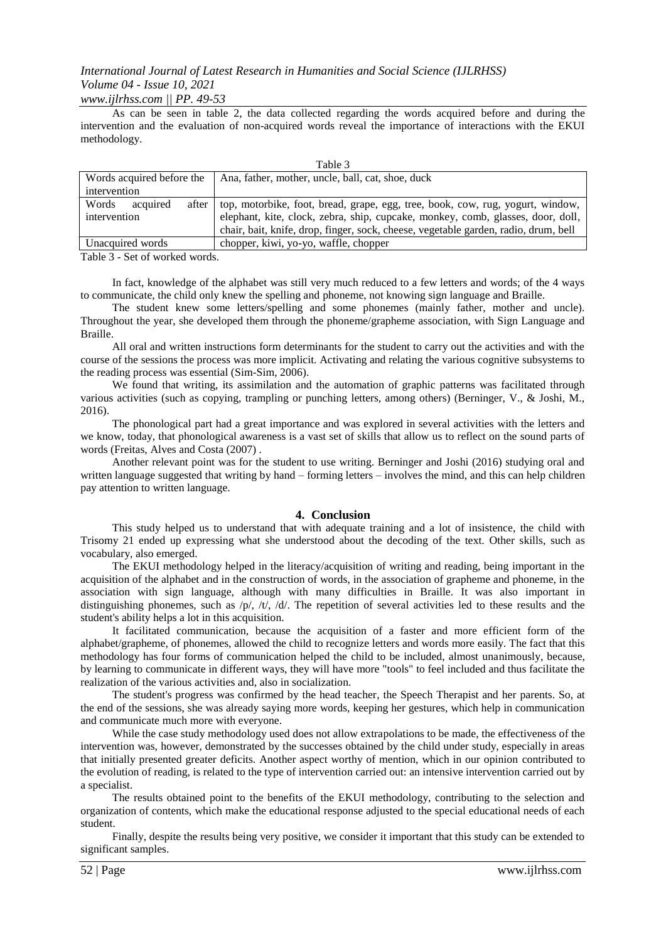# *International Journal of Latest Research in Humanities and Social Science (IJLRHSS) Volume 04 - Issue 10, 2021*

# *www.ijlrhss.com || PP. 49-53*

As can be seen in table 2, the data collected regarding the words acquired before and during the intervention and the evaluation of non-acquired words reveal the importance of interactions with the EKUI methodology.

| Table 3                    |                                                                                     |  |  |  |  |
|----------------------------|-------------------------------------------------------------------------------------|--|--|--|--|
| Words acquired before the  | Ana, father, mother, uncle, ball, cat, shoe, duck                                   |  |  |  |  |
| intervention               |                                                                                     |  |  |  |  |
| acquired<br>Words<br>after | top, motorbike, foot, bread, grape, egg, tree, book, cow, rug, yogurt, window,      |  |  |  |  |
| intervention               | elephant, kite, clock, zebra, ship, cupcake, monkey, comb, glasses, door, doll,     |  |  |  |  |
|                            | chair, bait, knife, drop, finger, sock, cheese, vegetable garden, radio, drum, bell |  |  |  |  |
| Unacquired words           | chopper, kiwi, yo-yo, waffle, chopper                                               |  |  |  |  |

Table 3 - Set of worked words.

In fact, knowledge of the alphabet was still very much reduced to a few letters and words; of the 4 ways to communicate, the child only knew the spelling and phoneme, not knowing sign language and Braille.

The student knew some letters/spelling and some phonemes (mainly father, mother and uncle). Throughout the year, she developed them through the phoneme/grapheme association, with Sign Language and Braille.

All oral and written instructions form determinants for the student to carry out the activities and with the course of the sessions the process was more implicit. Activating and relating the various cognitive subsystems to the reading process was essential (Sim-Sim, 2006).

We found that writing, its assimilation and the automation of graphic patterns was facilitated through various activities (such as copying, trampling or punching letters, among others) (Berninger, V., & Joshi, M., 2016).

The phonological part had a great importance and was explored in several activities with the letters and we know, today, that phonological awareness is a vast set of skills that allow us to reflect on the sound parts of words (Freitas, Alves and Costa (2007) .

Another relevant point was for the student to use writing. Berninger and Joshi (2016) studying oral and written language suggested that writing by hand – forming letters – involves the mind, and this can help children pay attention to written language.

## **4. Conclusion**

This study helped us to understand that with adequate training and a lot of insistence, the child with Trisomy 21 ended up expressing what she understood about the decoding of the text. Other skills, such as vocabulary, also emerged.

The EKUI methodology helped in the literacy/acquisition of writing and reading, being important in the acquisition of the alphabet and in the construction of words, in the association of grapheme and phoneme, in the association with sign language, although with many difficulties in Braille. It was also important in distinguishing phonemes, such as  $/p/$ ,  $/t/$ ,  $/d/$ . The repetition of several activities led to these results and the student's ability helps a lot in this acquisition.

It facilitated communication, because the acquisition of a faster and more efficient form of the alphabet/grapheme, of phonemes, allowed the child to recognize letters and words more easily. The fact that this methodology has four forms of communication helped the child to be included, almost unanimously, because, by learning to communicate in different ways, they will have more "tools" to feel included and thus facilitate the realization of the various activities and, also in socialization.

The student's progress was confirmed by the head teacher, the Speech Therapist and her parents. So, at the end of the sessions, she was already saying more words, keeping her gestures, which help in communication and communicate much more with everyone.

While the case study methodology used does not allow extrapolations to be made, the effectiveness of the intervention was, however, demonstrated by the successes obtained by the child under study, especially in areas that initially presented greater deficits. Another aspect worthy of mention, which in our opinion contributed to the evolution of reading, is related to the type of intervention carried out: an intensive intervention carried out by a specialist.

The results obtained point to the benefits of the EKUI methodology, contributing to the selection and organization of contents, which make the educational response adjusted to the special educational needs of each student.

Finally, despite the results being very positive, we consider it important that this study can be extended to significant samples.